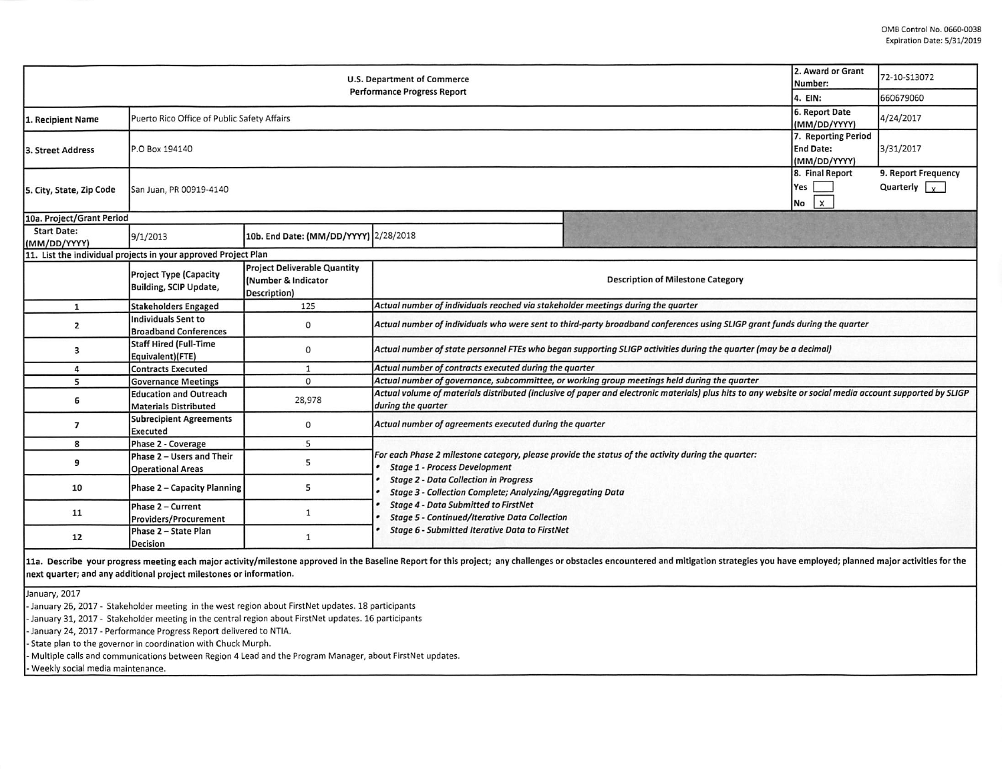|                                    | 2. Award or Grant<br>Number:                                   | 72-10-S13072                                                               |                                                                                                                                                                                                                                                                                                                                                                                                                                |  |  |  |  |  |  |
|------------------------------------|----------------------------------------------------------------|----------------------------------------------------------------------------|--------------------------------------------------------------------------------------------------------------------------------------------------------------------------------------------------------------------------------------------------------------------------------------------------------------------------------------------------------------------------------------------------------------------------------|--|--|--|--|--|--|
|                                    | 4. EIN:                                                        | 660679060                                                                  |                                                                                                                                                                                                                                                                                                                                                                                                                                |  |  |  |  |  |  |
| 1. Recipient Name                  | Puerto Rico Office of Public Safety Affairs                    | 6. Report Date<br>(MM/DD/YYYY)                                             | 4/24/2017                                                                                                                                                                                                                                                                                                                                                                                                                      |  |  |  |  |  |  |
| 3. Street Address                  | P.O Box 194140                                                 | 7. Reporting Period<br><b>End Date:</b><br>(MM/DD/YYYY)                    | 3/31/2017                                                                                                                                                                                                                                                                                                                                                                                                                      |  |  |  |  |  |  |
| 5. City, State, Zip Code           | San Juan, PR 00919-4140                                        | 8. Final Report<br>Yes<br>$\mathsf{X}$<br>No                               | 9. Report Frequency<br>Quarterly $\sqrt{x}$                                                                                                                                                                                                                                                                                                                                                                                    |  |  |  |  |  |  |
| 10a. Project/Grant Period          |                                                                |                                                                            |                                                                                                                                                                                                                                                                                                                                                                                                                                |  |  |  |  |  |  |
| <b>Start Date:</b><br>(MM/DD/YYYY) | 9/1/2013                                                       | 10b. End Date: (MM/DD/YYYY) 2/28/2018                                      |                                                                                                                                                                                                                                                                                                                                                                                                                                |  |  |  |  |  |  |
|                                    | 11. List the individual projects in your approved Project Plan |                                                                            |                                                                                                                                                                                                                                                                                                                                                                                                                                |  |  |  |  |  |  |
|                                    | Project Type (Capacity<br>Building, SCIP Update,               | <b>Project Deliverable Quantity</b><br>(Number & Indicator<br>Description) | <b>Description of Milestone Category</b>                                                                                                                                                                                                                                                                                                                                                                                       |  |  |  |  |  |  |
| $\mathbf{1}$                       | Stakeholders Engaged                                           | 125                                                                        | Actual number of individuals reached via stakeholder meetings during the quarter                                                                                                                                                                                                                                                                                                                                               |  |  |  |  |  |  |
| $\overline{2}$                     | Individuals Sent to<br><b>Broadband Conferences</b>            | $\circ$                                                                    | Actual number of individuals who were sent to third-party broadband conferences using SLIGP grant funds during the quarter                                                                                                                                                                                                                                                                                                     |  |  |  |  |  |  |
| 3                                  | Staff Hired (Full-Time<br>Equivalent)(FTE)                     | $\mathsf{O}$                                                               | Actual number of state personnel FTEs who began supporting SLIGP activities during the quarter (may be a decimal)                                                                                                                                                                                                                                                                                                              |  |  |  |  |  |  |
| 4                                  | Contracts Executed                                             | $\mathbf{1}$                                                               | Actual number of contracts executed during the quarter                                                                                                                                                                                                                                                                                                                                                                         |  |  |  |  |  |  |
| 5                                  | <b>Governance Meetings</b>                                     | $\Omega$                                                                   | Actual number of governance, subcommittee, or working group meetings held during the quarter                                                                                                                                                                                                                                                                                                                                   |  |  |  |  |  |  |
| 6                                  | <b>Education and Outreach</b><br>Materials Distributed         | 28,978                                                                     | Actual volume of materials distributed (inclusive of paper and electronic materials) plus hits to any website or social media account supported by SLIGP<br>during the quarter                                                                                                                                                                                                                                                 |  |  |  |  |  |  |
| 7                                  | <b>Subrecipient Agreements</b><br>Executed                     | $\mathbf 0$                                                                | Actual number of agreements executed during the quarter                                                                                                                                                                                                                                                                                                                                                                        |  |  |  |  |  |  |
| 8                                  | Phase 2 - Coverage                                             | 5                                                                          |                                                                                                                                                                                                                                                                                                                                                                                                                                |  |  |  |  |  |  |
| 9                                  | Phase 2 - Users and Their<br><b>Operational Areas</b>          | 5                                                                          | For each Phase 2 milestone category, please provide the status of the activity during the quarter:<br><b>Stage 1 - Process Development</b><br><b>Stage 2 - Data Collection in Progress</b><br><b>Stage 3 - Collection Complete; Analyzing/Aggregating Data</b><br><b>Stage 4 - Data Submitted to FirstNet</b><br><b>Stage 5 - Continued/Iterative Data Collection</b><br><b>Stage 6 - Submitted Iterative Data to FirstNet</b> |  |  |  |  |  |  |
| 10                                 | Phase 2 - Capacity Planning                                    | 5                                                                          |                                                                                                                                                                                                                                                                                                                                                                                                                                |  |  |  |  |  |  |
| 11                                 | Phase 2 - Current<br><b>Providers/Procurement</b>              | $\mathbf{1}$                                                               |                                                                                                                                                                                                                                                                                                                                                                                                                                |  |  |  |  |  |  |
| 12                                 | Phase 2 - State Plan<br>Decision                               | 1                                                                          |                                                                                                                                                                                                                                                                                                                                                                                                                                |  |  |  |  |  |  |

11a. Describe your progress meeting each major activity/milestone approved in the Baseline Report for this project; any challenges or obstacles encountered and mitigation strategies you have employed; planned major activit next quarter; and any additional project milestones or information.

January, 2017

. January 26, 2017 • Stakeholder meeting in the west region about FirstNet updates. 18 participants

- January 31, 2017. Stakeholder meeting in the central region about FirstNet updates. 16 participants

· January 24, 2017 · Performance Progress Report delivered to NTIA.

• State plan to the governor in coordination with Chuck Murph.

· Multiple calls and communications between Region 4 Lead and the Program Manager, about FirstNet updates.

- Weekly social media maintenance.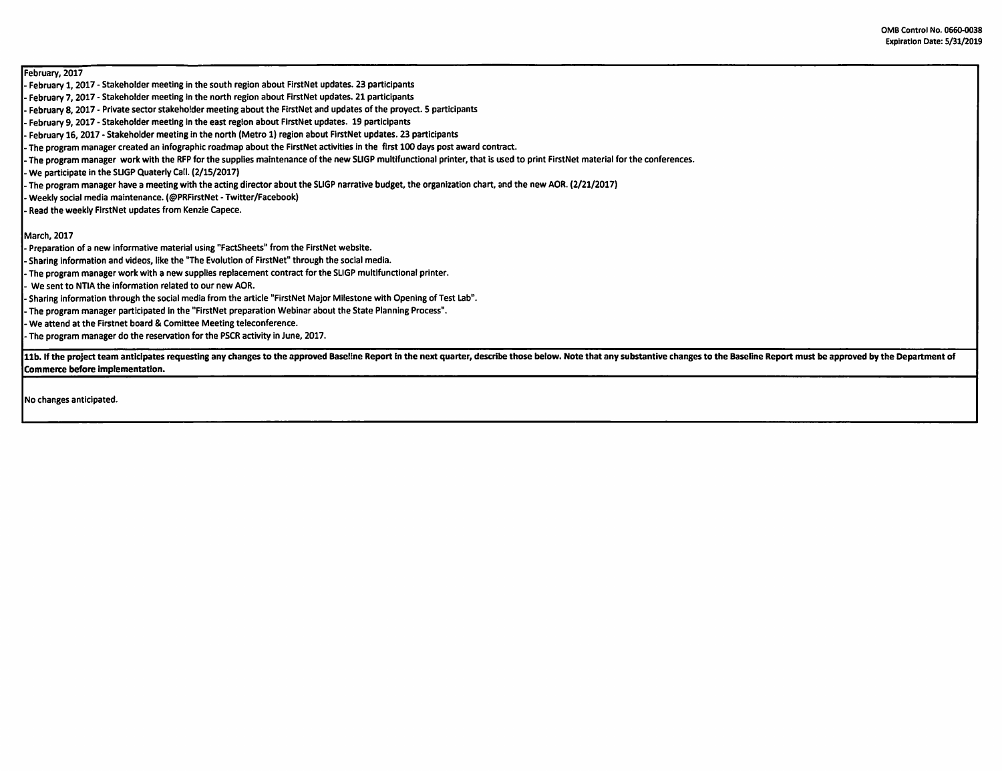## February, 2017

- February 1, 2017 Stakeholder meeting in the south region about FirstNet updates. 23 participants
- February 7, 2017 Stakeholder meeting In the north region about FirstNet updates. 21 participants
- February 8, 2017 Private sector stakeholder meeting about the FirstNet and updates of the proyect. 5 participants
- February 9, 2017 Stakeholder meeting in the east region about FirstNet updates. 19 participants
- February 16, 2017 Stakeholder meeting in the north (Metro 1) region about FlrstNet updates. 23 participants
- The program manager created an lnfographic roadmap about the FirstNet activities in the first 100 days post award contract.
- The program manager work with the RFP for the supplies maintenance of the new SUGP multifunctional printer, that is used to print FirstNet material for the conferences.
- We participate in the SUGP Quaterly Cati. (2/15/2017)
- The program manager have a meeting with the acting director about the SUGP narrative budget, the organization chart, and the new AOR. (2/21/2017)
- Weekly social media maintenance. (@PRFirstNet Twitter/Facebook)
- Read the weekly FirstNet updates from Kenzie Capece.

## March, 2017

- Preparation of a new informative material using "FactSheets" from the FirstNet website.
- Sharing information and videos, like the "The Evolution of FirstNet" through the social media.
- The program manager work with a new supplies replacement contract for the SLIGP multifunctional printer.
- We sent to NTIA the information related to our new AOR.
- Sharing information through the social media from the article "FirstNet Major Milestone with Opening of Test Lab".
- The program manager participated In the "FirstNet preparation Webinar about the State Planning Process".
- We attend at the Firstnet board & Comittee Meeting teleconference.
- The program manager do the reservation for the PSCR activity in June, 2017.

11b. If the project team anticipates requesting any changes to the approved Baseline Report in the next quarter, describe those below. Note that any substantive changes to the Baseline Report must be approved by the Depart **Commerce before Implementation.** 

No changes anticipated.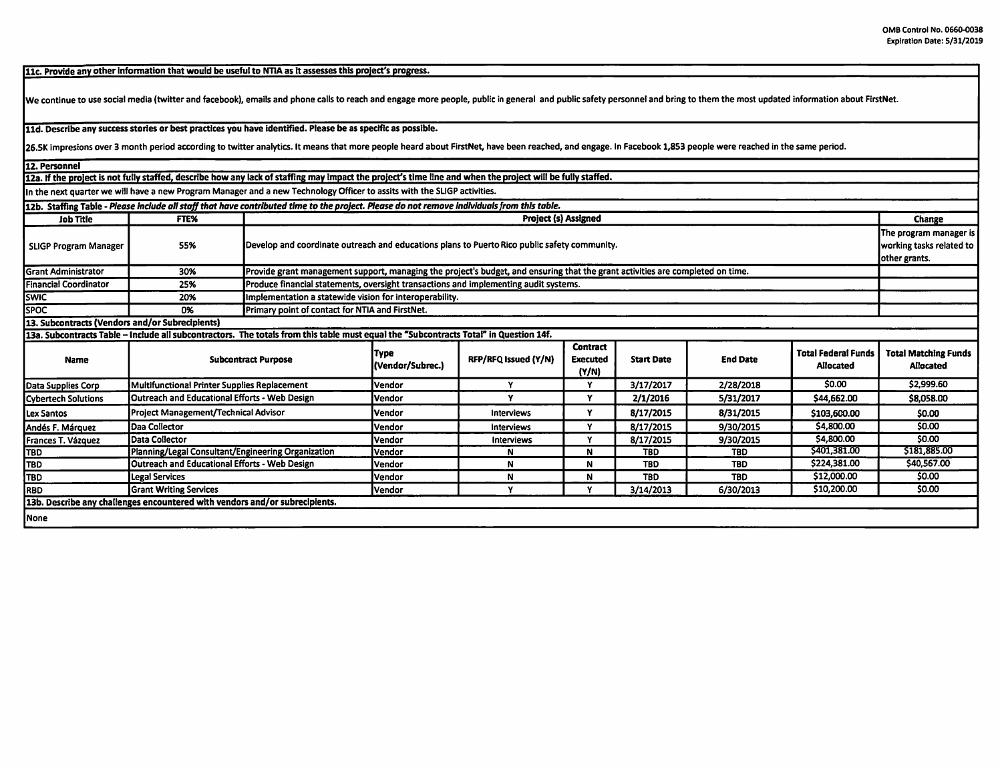11c. Provide any other information that would be useful to NTIA as it assesses this project's progress.

We continue to use social media (twitter and facebook), emails and phone calls to reach and engage more people, public in general and public safety personnel and bring to them the most updated information about FirstNet.

**11d. Describe any success stories or best practices you have identified. Please be as specific as possible.** 

26.5K impresions over 3 month period according to twitter analytics. It means that more people heard about FirstNet, have been reached, and engage. In Facebook 1,853 people were reached in the same period.

12. Personnel

12a. If the project is not fully staffed, describe how any lack of staffing may impact the project's time line and when the project will be fully staffed.

In the next quarter we will have a new Program Manager and a new Technology Officer to asslts with the SLIGP activities.

|                                                 |                                                                             | 12b. Staffing Table - Please include all staff that have contributed time to the project. Please do not remove individuals from this table. |                          |                      |                                             |                   |                 |                                                |                                          |  |
|-------------------------------------------------|-----------------------------------------------------------------------------|---------------------------------------------------------------------------------------------------------------------------------------------|--------------------------|----------------------|---------------------------------------------|-------------------|-----------------|------------------------------------------------|------------------------------------------|--|
| <b>Job Title</b>                                | FTE%                                                                        | <b>Project (s) Assigned</b>                                                                                                                 |                          |                      |                                             |                   |                 |                                                |                                          |  |
| <b>SLIGP Program Manager</b>                    | 55%                                                                         | Develop and coordinate outreach and educations plans to Puerto Rico public safety community.                                                |                          |                      |                                             |                   |                 |                                                |                                          |  |
| <b>Grant Administrator</b>                      | 30%                                                                         | Provide grant management support, managing the project's budget, and ensuring that the grant activities are completed on time.              |                          |                      |                                             |                   |                 |                                                |                                          |  |
| Financial Coordinator                           | 25%                                                                         | Produce financial statements, oversight transactions and implementing audit systems.                                                        |                          |                      |                                             |                   |                 |                                                |                                          |  |
| <b>SWIC</b>                                     | 20%                                                                         | Implementation a statewide vision for interoperability.                                                                                     |                          |                      |                                             |                   |                 |                                                |                                          |  |
| <b>SPOC</b>                                     | 0%                                                                          | Primary point of contact for NTIA and FirstNet.                                                                                             |                          |                      |                                             |                   |                 |                                                |                                          |  |
| 13. Subcontracts (Vendors and/or Subrecipients) |                                                                             |                                                                                                                                             |                          |                      |                                             |                   |                 |                                                |                                          |  |
|                                                 |                                                                             | 13a. Subcontracts Table - Include all subcontractors. The totals from this table must equal the "Subcontracts Total" in Question 14f.       |                          |                      |                                             |                   |                 |                                                |                                          |  |
| Name                                            |                                                                             | <b>Subcontract Purpose</b>                                                                                                                  | Type<br>(Vendor/Subrec.) | RFP/RFQ Issued (Y/N) | <b>Contract</b><br><b>Executed</b><br>(Y/N) | <b>Start Date</b> | <b>End Date</b> | <b>Total Federal Funds</b><br><b>Allocated</b> | <b>Total Matching Funds</b><br>Allocated |  |
| Data Supplies Corp                              | Multifunctional Printer Supplies Replacement                                |                                                                                                                                             | Vendor                   | Y                    | Y                                           | 3/17/2017         | 2/28/2018       | \$0.00                                         | \$2,999.60                               |  |
| Cybertech Solutions                             | <b>Outreach and Educational Efforts - Web Design</b>                        |                                                                                                                                             | Vendor                   | v                    | v                                           | 2/1/2016          | 5/31/2017       | \$44,662.00                                    | \$8,058.00                               |  |
| Lex Santos                                      | Project Management/Technical Advisor                                        |                                                                                                                                             | lVendor                  | Interviews           | Y                                           | 8/17/2015         | 8/31/2015       | \$103,600.00                                   | \$0.00                                   |  |
| Andés F. Márquez                                | Daa Collector                                                               |                                                                                                                                             | Vendor                   | Interviews           | v                                           | 8/17/2015         | 9/30/2015       | \$4,800.00                                     | \$0.00                                   |  |
| Frances T. Vázquez                              | Data Collector                                                              |                                                                                                                                             | Vendor                   | <b>Interviews</b>    | v                                           | 8/17/2015         | 9/30/2015       | \$4,800.00                                     | \$0.00                                   |  |
| <b>TBD</b>                                      | Planning/Legal Consultant/Engineering Organization                          |                                                                                                                                             | Vendor                   | N                    | N                                           | <b>TBD</b>        | TBD             | \$401,381.00                                   | \$181,885.00                             |  |
| TBD                                             | <b>Outreach and Educational Efforts - Web Design</b>                        |                                                                                                                                             | Vendor                   | N                    | N                                           | <b>TBD</b>        | <b>TBD</b>      | \$224,381.00                                   | \$40,567.00                              |  |
| TBD.                                            | Legal Services                                                              |                                                                                                                                             | lVendor                  | N                    | N                                           | <b>TBD</b>        | <b>TBD</b>      | \$12,000.00                                    | \$0.00                                   |  |
| <b>RBD</b>                                      | <b>Grant Writing Services</b>                                               |                                                                                                                                             | <b>Vendor</b>            | Y                    |                                             | 3/14/2013         | 6/30/2013       | \$10,200.00                                    | \$0.00                                   |  |
|                                                 | 13b. Describe any challenges encountered with vendors and/or subrecipients. |                                                                                                                                             |                          |                      |                                             |                   |                 |                                                |                                          |  |
| None                                            |                                                                             |                                                                                                                                             |                          |                      |                                             |                   |                 |                                                |                                          |  |